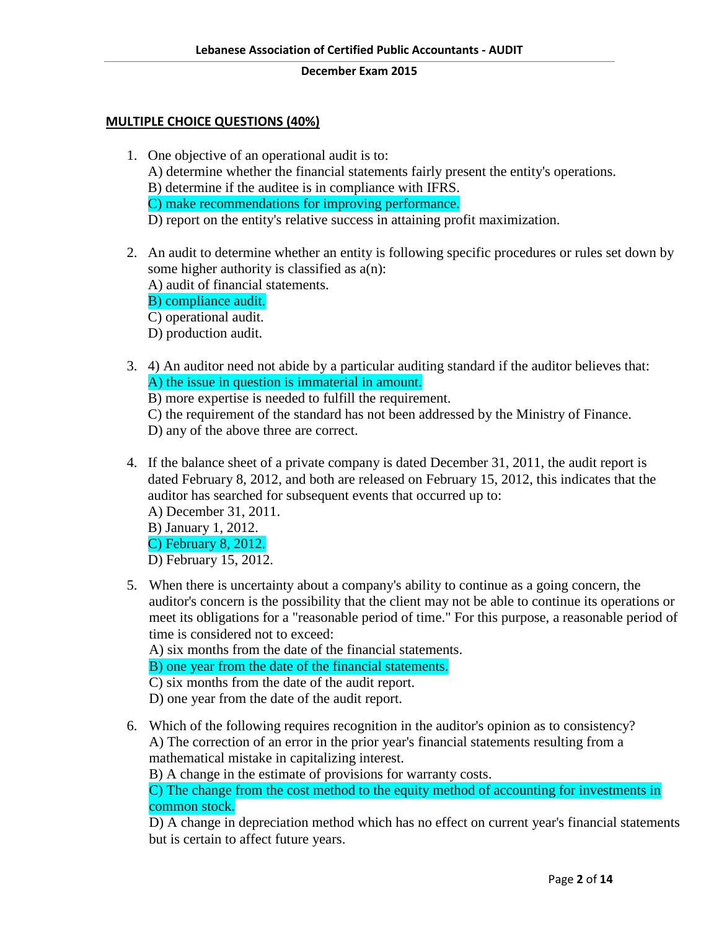## **MULTIPLE CHOICE QUESTIONS (40%)**

- 1. One objective of an operational audit is to: A) determine whether the financial statements fairly present the entity's operations. B) determine if the auditee is in compliance with IFRS. C) make recommendations for improving performance. D) report on the entity's relative success in attaining profit maximization.
- 2. An audit to determine whether an entity is following specific procedures or rules set down by some higher authority is classified as a(n): A) audit of financial statements.
	-
	- B) compliance audit.
	- C) operational audit.
	- D) production audit.
- 3. 4) An auditor need not abide by a particular auditing standard if the auditor believes that: A) the issue in question is immaterial in amount.
	- B) more expertise is needed to fulfill the requirement.

C) the requirement of the standard has not been addressed by the Ministry of Finance. D) any of the above three are correct.

- 4. If the balance sheet of a private company is dated December 31, 2011, the audit report is dated February 8, 2012, and both are released on February 15, 2012, this indicates that the auditor has searched for subsequent events that occurred up to:
	- A) December 31, 2011.
	- B) January 1, 2012.
	- C) February 8, 2012.
	- D) February 15, 2012.
- 5. When there is uncertainty about a company's ability to continue as a going concern, the auditor's concern is the possibility that the client may not be able to continue its operations or meet its obligations for a "reasonable period of time." For this purpose, a reasonable period of time is considered not to exceed:

A) six months from the date of the financial statements.

B) one year from the date of the financial statements.

- C) six months from the date of the audit report.
- D) one year from the date of the audit report.
- 6. Which of the following requires recognition in the auditor's opinion as to consistency? A) The correction of an error in the prior year's financial statements resulting from a mathematical mistake in capitalizing interest.

B) A change in the estimate of provisions for warranty costs.

C) The change from the cost method to the equity method of accounting for investments in common stock.

D) A change in depreciation method which has no effect on current year's financial statements but is certain to affect future years.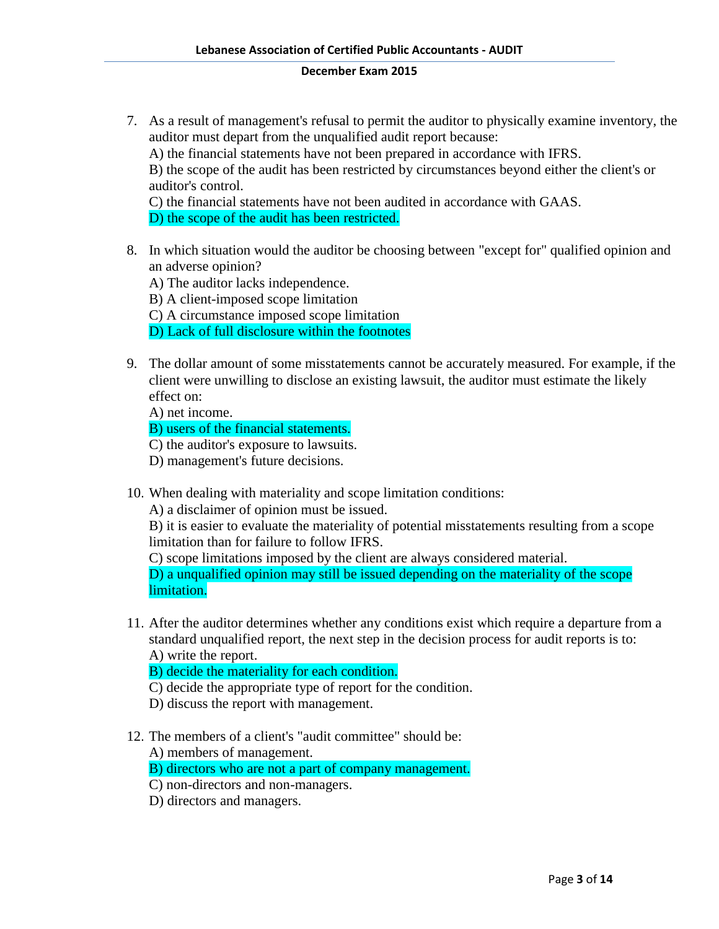7. As a result of management's refusal to permit the auditor to physically examine inventory, the auditor must depart from the unqualified audit report because: A) the financial statements have not been prepared in accordance with IFRS. B) the scope of the audit has been restricted by circumstances beyond either the client's or auditor's control. C) the financial statements have not been audited in accordance with GAAS.

D) the scope of the audit has been restricted.

- 8. In which situation would the auditor be choosing between "except for" qualified opinion and an adverse opinion?
	- A) The auditor lacks independence.
	- B) A client-imposed scope limitation
	- C) A circumstance imposed scope limitation
	- D) Lack of full disclosure within the footnotes
- 9. The dollar amount of some misstatements cannot be accurately measured. For example, if the client were unwilling to disclose an existing lawsuit, the auditor must estimate the likely effect on:

A) net income.

B) users of the financial statements.

C) the auditor's exposure to lawsuits.

D) management's future decisions.

10. When dealing with materiality and scope limitation conditions:

A) a disclaimer of opinion must be issued.

B) it is easier to evaluate the materiality of potential misstatements resulting from a scope limitation than for failure to follow IFRS.

C) scope limitations imposed by the client are always considered material.

D) a unqualified opinion may still be issued depending on the materiality of the scope limitation.

11. After the auditor determines whether any conditions exist which require a departure from a standard unqualified report, the next step in the decision process for audit reports is to: A) write the report.

B) decide the materiality for each condition.

- C) decide the appropriate type of report for the condition.
- D) discuss the report with management.
- 12. The members of a client's "audit committee" should be:

A) members of management.

B) directors who are not a part of company management.

- C) non-directors and non-managers.
- D) directors and managers.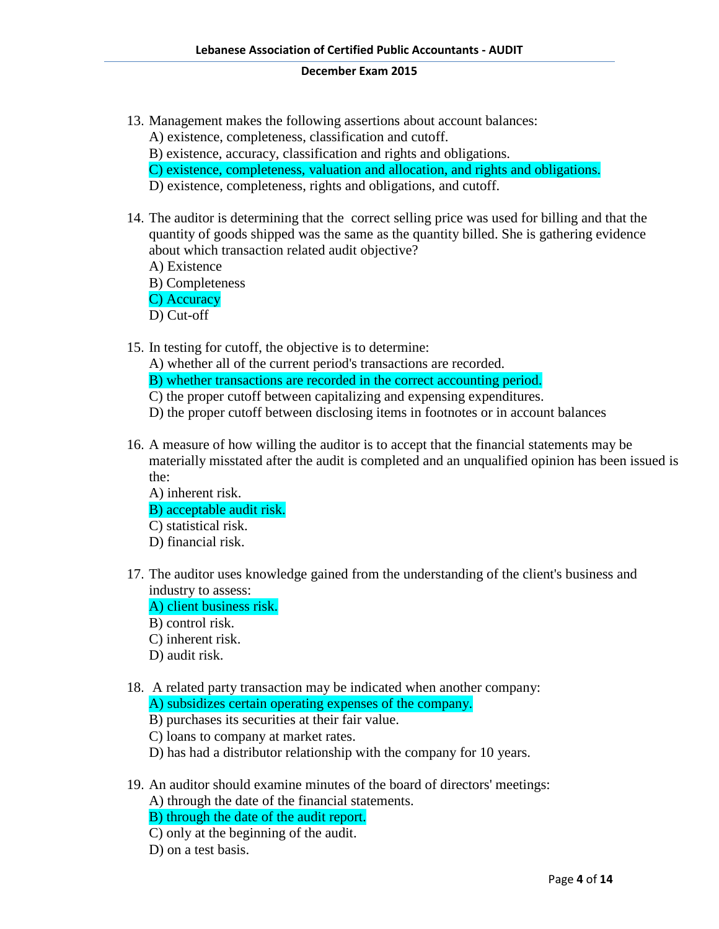- 13. Management makes the following assertions about account balances: A) existence, completeness, classification and cutoff.
	- B) existence, accuracy, classification and rights and obligations.
	- C) existence, completeness, valuation and allocation, and rights and obligations.
	- D) existence, completeness, rights and obligations, and cutoff.
- 14. The auditor is determining that the correct selling price was used for billing and that the quantity of goods shipped was the same as the quantity billed. She is gathering evidence about which transaction related audit objective?
	- A) Existence
	- B) Completeness
	- C) Accuracy
	- D) Cut-off
- 15. In testing for cutoff, the objective is to determine:
	- A) whether all of the current period's transactions are recorded.
	- B) whether transactions are recorded in the correct accounting period.
	- C) the proper cutoff between capitalizing and expensing expenditures.
	- D) the proper cutoff between disclosing items in footnotes or in account balances
- 16. A measure of how willing the auditor is to accept that the financial statements may be materially misstated after the audit is completed and an unqualified opinion has been issued is the:
	- A) inherent risk. B) acceptable audit risk. C) statistical risk. D) financial risk.
- 17. The auditor uses knowledge gained from the understanding of the client's business and industry to assess:
	- A) client business risk.
	- B) control risk.
	- C) inherent risk.
	- D) audit risk.
- 18. A related party transaction may be indicated when another company: A) subsidizes certain operating expenses of the company.
	- B) purchases its securities at their fair value.
	- C) loans to company at market rates.
	- D) has had a distributor relationship with the company for 10 years.
- 19. An auditor should examine minutes of the board of directors' meetings:
	- A) through the date of the financial statements.
	- B) through the date of the audit report.
	- C) only at the beginning of the audit.
	- D) on a test basis.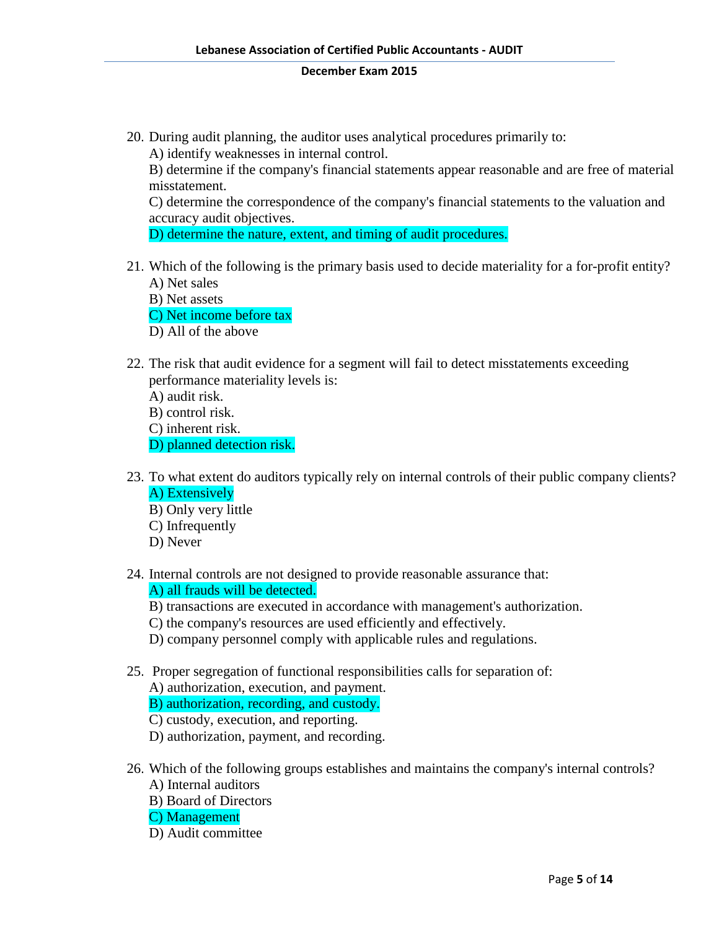20. During audit planning, the auditor uses analytical procedures primarily to:

A) identify weaknesses in internal control.

B) determine if the company's financial statements appear reasonable and are free of material misstatement.

C) determine the correspondence of the company's financial statements to the valuation and accuracy audit objectives.

D) determine the nature, extent, and timing of audit procedures.

- 21. Which of the following is the primary basis used to decide materiality for a for-profit entity? A) Net sales
	- B) Net assets

C) Net income before tax

- D) All of the above
- 22. The risk that audit evidence for a segment will fail to detect misstatements exceeding performance materiality levels is:

A) audit risk.

B) control risk.

C) inherent risk.

D) planned detection risk.

- 23. To what extent do auditors typically rely on internal controls of their public company clients? A) Extensively
	- B) Only very little
	- C) Infrequently
	- D) Never
- 24. Internal controls are not designed to provide reasonable assurance that: A) all frauds will be detected.
	- B) transactions are executed in accordance with management's authorization.
	- C) the company's resources are used efficiently and effectively.
	- D) company personnel comply with applicable rules and regulations.
- 25. Proper segregation of functional responsibilities calls for separation of: A) authorization, execution, and payment. B) authorization, recording, and custody.
	- C) custody, execution, and reporting.
	- D) authorization, payment, and recording.
- 26. Which of the following groups establishes and maintains the company's internal controls? A) Internal auditors
	- B) Board of Directors
	- C) Management
	- D) Audit committee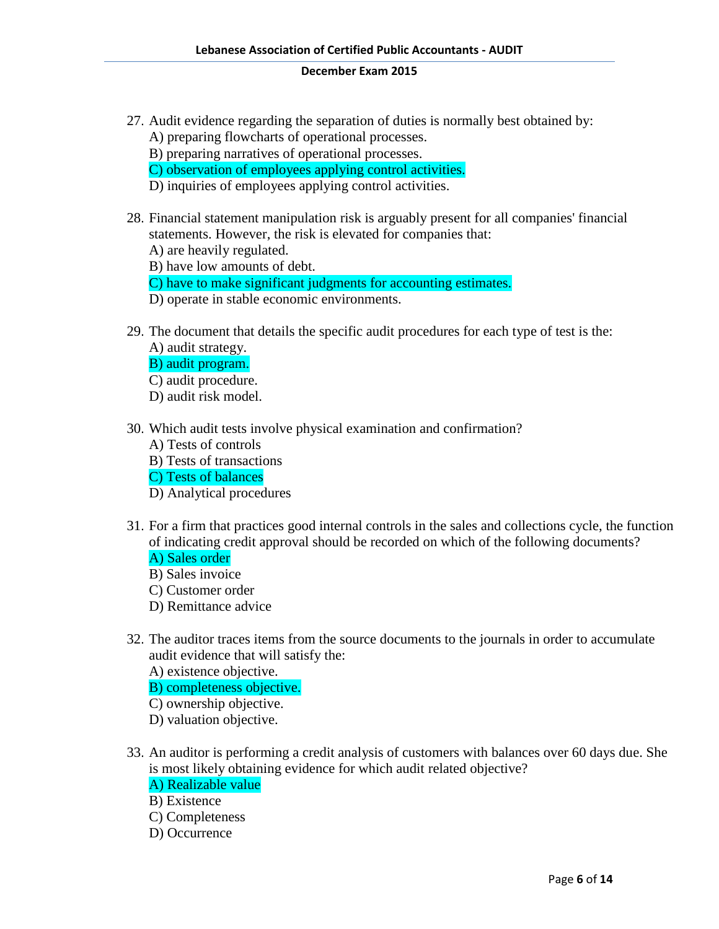- 27. Audit evidence regarding the separation of duties is normally best obtained by: A) preparing flowcharts of operational processes.
	- B) preparing narratives of operational processes.
	- C) observation of employees applying control activities.
	- D) inquiries of employees applying control activities.
- 28. Financial statement manipulation risk is arguably present for all companies' financial statements. However, the risk is elevated for companies that:
	- A) are heavily regulated.
	- B) have low amounts of debt.
	- C) have to make significant judgments for accounting estimates.
	- D) operate in stable economic environments.
- 29. The document that details the specific audit procedures for each type of test is the:
	- A) audit strategy.
	- B) audit program.
	- C) audit procedure.
	- D) audit risk model.
- 30. Which audit tests involve physical examination and confirmation?
	- A) Tests of controls
	- B) Tests of transactions
	- C) Tests of balances
	- D) Analytical procedures
- 31. For a firm that practices good internal controls in the sales and collections cycle, the function of indicating credit approval should be recorded on which of the following documents? A) Sales order
	- B) Sales invoice
	- C) Customer order
	- D) Remittance advice
- 32. The auditor traces items from the source documents to the journals in order to accumulate audit evidence that will satisfy the:
	- A) existence objective.
	- B) completeness objective.
	- C) ownership objective.
	- D) valuation objective.
- 33. An auditor is performing a credit analysis of customers with balances over 60 days due. She is most likely obtaining evidence for which audit related objective?
	- A) Realizable value
	- B) Existence
	- C) Completeness
	- D) Occurrence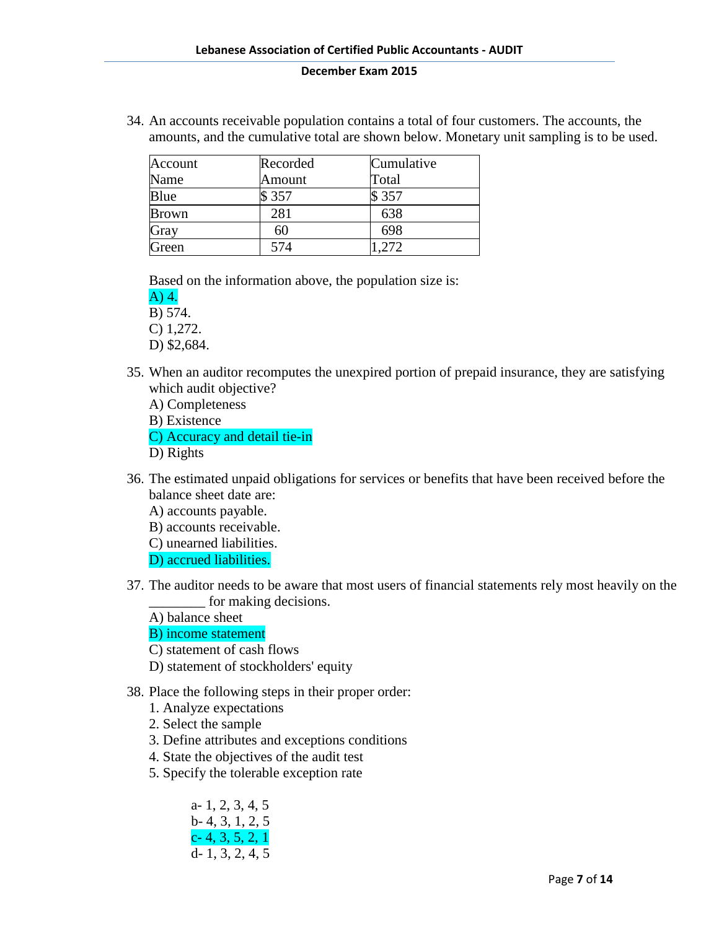34. An accounts receivable population contains a total of four customers. The accounts, the amounts, and the cumulative total are shown below. Monetary unit sampling is to be used.

| Account      | Recorded | Cumulative |
|--------------|----------|------------|
| Name         | Amount   | Total      |
| Blue         | \$357    | \$357      |
| <b>Brown</b> | 281      | 638        |
| Gray         | 60       | 698        |
| Green        | 574      | -272       |

Based on the information above, the population size is:

A) 4.

B) 574.

C) 1,272.

D) \$2,684.

- 35. When an auditor recomputes the unexpired portion of prepaid insurance, they are satisfying which audit objective?
	- A) Completeness
	- B) Existence

C) Accuracy and detail tie-in

- D) Rights
- 36. The estimated unpaid obligations for services or benefits that have been received before the balance sheet date are:
	- A) accounts payable.
	- B) accounts receivable.
	- C) unearned liabilities.

D) accrued liabilities.

37. The auditor needs to be aware that most users of financial statements rely most heavily on the for making decisions.

A) balance sheet

B) income statement

C) statement of cash flows

- D) statement of stockholders' equity
- 38. Place the following steps in their proper order:
	- 1. Analyze expectations
	- 2. Select the sample
	- 3. Define attributes and exceptions conditions
	- 4. State the objectives of the audit test
	- 5. Specify the tolerable exception rate

a- 1, 2, 3, 4, 5 b- 4, 3, 1, 2, 5  $c- 4, 3, 5, 2, 1$ d- 1, 3, 2, 4, 5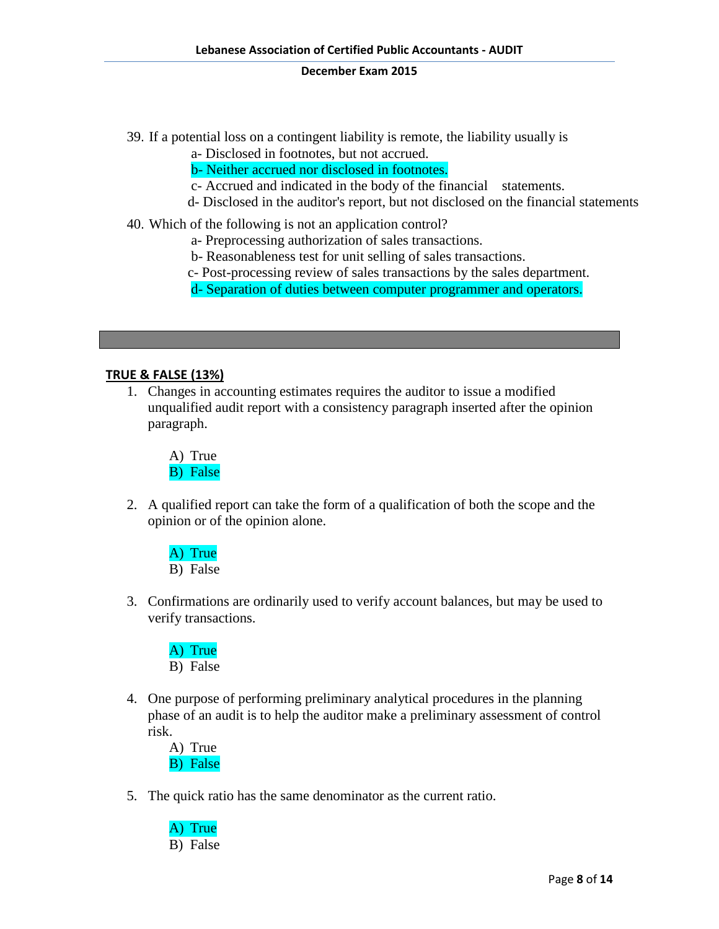39. If a potential loss on a contingent liability is remote, the liability usually is

a- Disclosed in footnotes, but not accrued.

b- Neither accrued nor disclosed in footnotes.

c- Accrued and indicated in the body of the financial statements.

- d- Disclosed in the auditor's report, but not disclosed on the financial statements
- 40. Which of the following is not an application control?
	- a- Preprocessing authorization of sales transactions.
	- b- Reasonableness test for unit selling of sales transactions.
	- c- Post-processing review of sales transactions by the sales department.
	- d- Separation of duties between computer programmer and operators.

## **TRUE & FALSE (13%)**

1. Changes in accounting estimates requires the auditor to issue a modified unqualified audit report with a consistency paragraph inserted after the opinion paragraph.

A) True B) False

2. A qualified report can take the form of a qualification of both the scope and the opinion or of the opinion alone.

A) True B) False

3. Confirmations are ordinarily used to verify account balances, but may be used to verify transactions.

A) True B) False

4. One purpose of performing preliminary analytical procedures in the planning phase of an audit is to help the auditor make a preliminary assessment of control risk.

A) True B) False

5. The quick ratio has the same denominator as the current ratio.

A) True B) False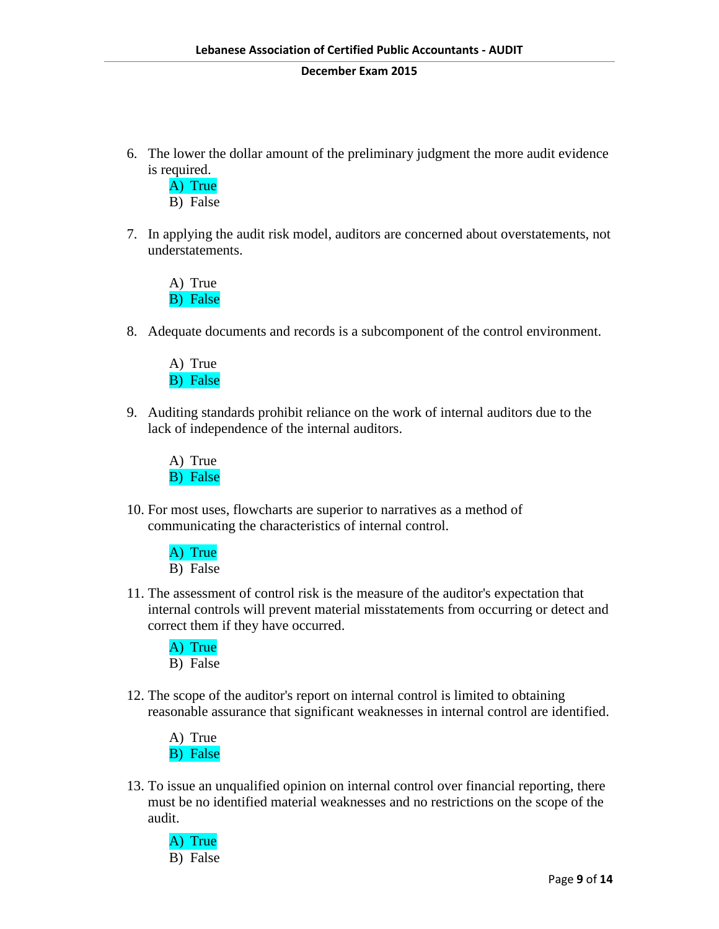6. The lower the dollar amount of the preliminary judgment the more audit evidence is required.

A) True B) False

7. In applying the audit risk model, auditors are concerned about overstatements, not understatements.

A) True B) False

8. Adequate documents and records is a subcomponent of the control environment.

A) True B) False

9. Auditing standards prohibit reliance on the work of internal auditors due to the lack of independence of the internal auditors.

A) True B) False

10. For most uses, flowcharts are superior to narratives as a method of communicating the characteristics of internal control.

> A) True B) False

11. The assessment of control risk is the measure of the auditor's expectation that internal controls will prevent material misstatements from occurring or detect and correct them if they have occurred.

A) True B) False

12. The scope of the auditor's report on internal control is limited to obtaining reasonable assurance that significant weaknesses in internal control are identified.

A) True B) False

13. To issue an unqualified opinion on internal control over financial reporting, there must be no identified material weaknesses and no restrictions on the scope of the audit.

A) True B) False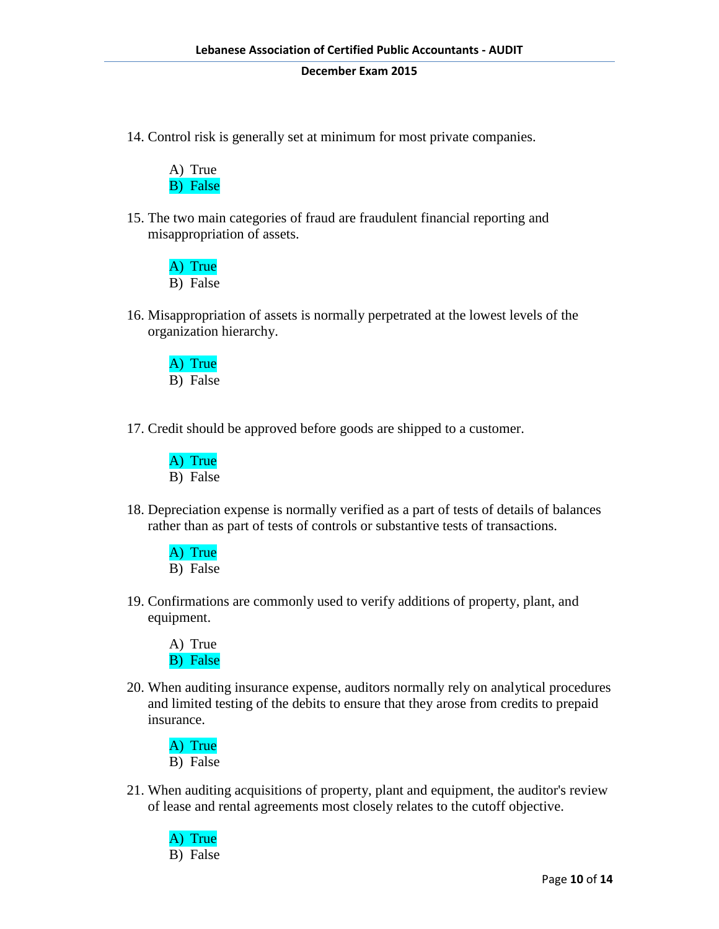14. Control risk is generally set at minimum for most private companies.

A) True B) False

15. The two main categories of fraud are fraudulent financial reporting and misappropriation of assets.

A) True B) False

16. Misappropriation of assets is normally perpetrated at the lowest levels of the organization hierarchy.

A) True B) False

17. Credit should be approved before goods are shipped to a customer.



18. Depreciation expense is normally verified as a part of tests of details of balances rather than as part of tests of controls or substantive tests of transactions.

A) True B) False

19. Confirmations are commonly used to verify additions of property, plant, and equipment.

A) True B) False

20. When auditing insurance expense, auditors normally rely on analytical procedures and limited testing of the debits to ensure that they arose from credits to prepaid insurance.

A) True B) False

21. When auditing acquisitions of property, plant and equipment, the auditor's review of lease and rental agreements most closely relates to the cutoff objective.

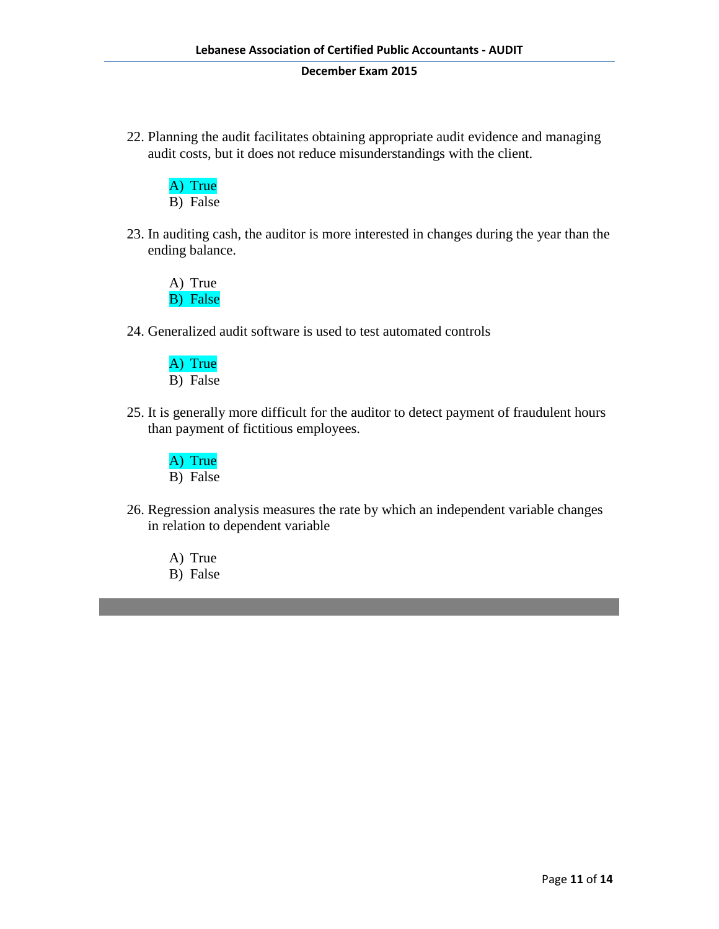22. Planning the audit facilitates obtaining appropriate audit evidence and managing audit costs, but it does not reduce misunderstandings with the client.

A) True B) False

23. In auditing cash, the auditor is more interested in changes during the year than the ending balance.

A) True B) False

24. Generalized audit software is used to test automated controls

A) True B) False

25. It is generally more difficult for the auditor to detect payment of fraudulent hours than payment of fictitious employees.

A) True B) False

26. Regression analysis measures the rate by which an independent variable changes in relation to dependent variable

A) True

B) False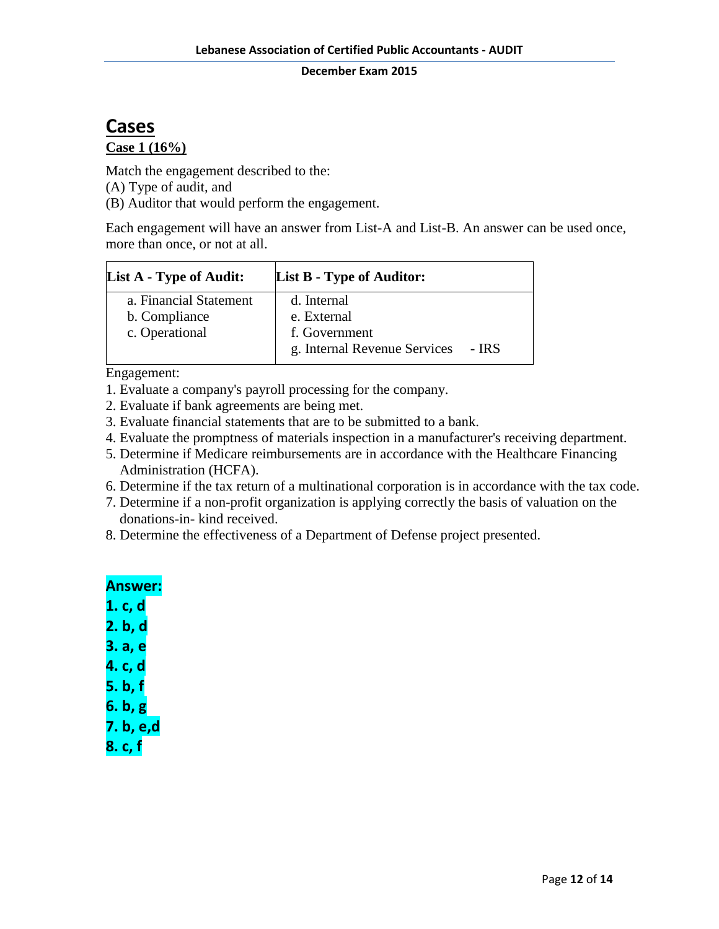# **Cases**

# **Case 1 (16%)**

Match the engagement described to the:

(A) Type of audit, and

(B) Auditor that would perform the engagement.

Each engagement will have an answer from List-A and List-B. An answer can be used once, more than once, or not at all.

| <b>List A - Type of Audit:</b> | <b>List B - Type of Auditor:</b> |       |
|--------------------------------|----------------------------------|-------|
| a. Financial Statement         | d. Internal                      |       |
| b. Compliance                  | e. External                      |       |
| c. Operational                 | f. Government                    |       |
|                                | g. Internal Revenue Services     | - IRS |

Engagement:

- 1. Evaluate a company's payroll processing for the company.
- 2. Evaluate if bank agreements are being met.
- 3. Evaluate financial statements that are to be submitted to a bank.
- 4. Evaluate the promptness of materials inspection in a manufacturer's receiving department.
- 5. Determine if Medicare reimbursements are in accordance with the Healthcare Financing Administration (HCFA).
- 6. Determine if the tax return of a multinational corporation is in accordance with the tax code.
- 7. Determine if a non-profit organization is applying correctly the basis of valuation on the donations-in- kind received.
- 8. Determine the effectiveness of a Department of Defense project presented.

# **Answer:**

- **1. c, d**
- **2. b, d**
- **3. a, e**
- **4. c, d**
- 
- **5. b, f**
- **6. b, g**
- **7. b, e,d**
- **8. c, f**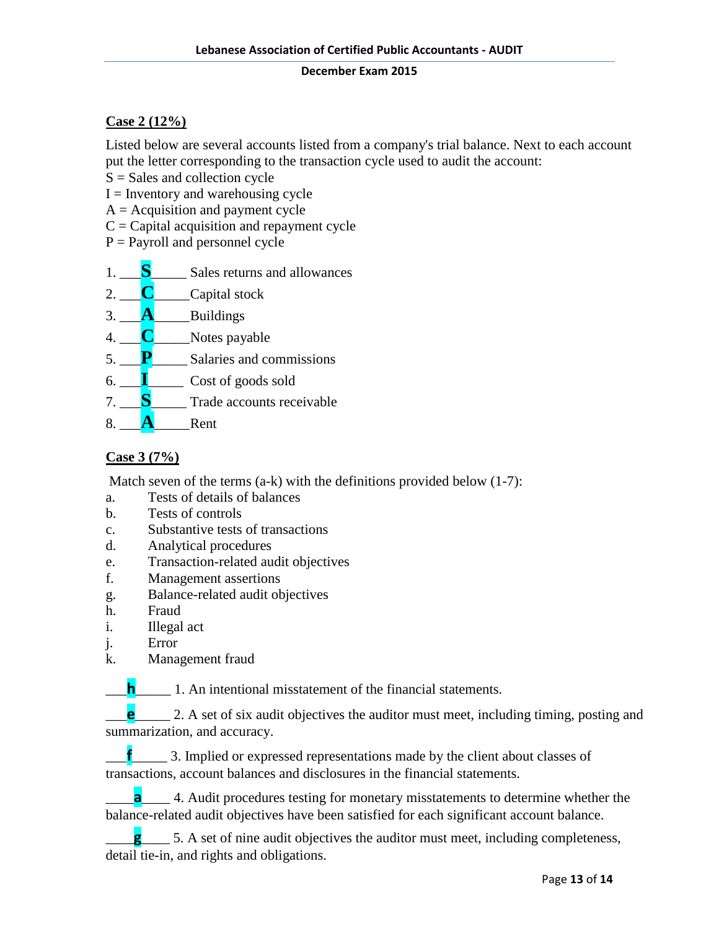## **Case 2 (12%)**

Listed below are several accounts listed from a company's trial balance. Next to each account put the letter corresponding to the transaction cycle used to audit the account:

 $S = S$ ales and collection cycle

 $I =$  Inventory and warehousing cycle

- $A =$  Acquisition and payment cycle
- $C =$  Capital acquisition and repayment cycle
- $P =$  Payroll and personnel cycle

- 2. **C**\_\_\_\_Capital stock
- $3.$   $\blacksquare$ **A** Buildings
- 4. **C** Notes payable
- 5. **P**\_\_\_\_\_ Salaries and commissions
- 6. \_\_\_**I**\_\_\_\_\_ Cost of goods sold
- 7. **S** Trade accounts receivable
- 8.  $\overline{\mathbf{A}}$  Rent

# **Case 3 (7%)**

Match seven of the terms (a-k) with the definitions provided below (1-7):

- a. Tests of details of balances
- b. Tests of controls
- c. Substantive tests of transactions
- d. Analytical procedures
- e. Transaction-related audit objectives
- f. Management assertions
- g. Balance-related audit objectives
- h. Fraud
- i. Illegal act
- j. Error
- k. Management fraud

**h**<sub>1</sub>. An intentional misstatement of the financial statements.

\_\_\_**e**\_\_\_\_\_ 2. A set of six audit objectives the auditor must meet, including timing, posting and summarization, and accuracy.

**f**\_\_\_\_\_\_\_\_\_ 3. Implied or expressed representations made by the client about classes of transactions, account balances and disclosures in the financial statements.

**a**<sub>\_\_\_\_</sub> 4. Audit procedures testing for monetary misstatements to determine whether the balance-related audit objectives have been satisfied for each significant account balance.

\_\_\_\_**g**\_\_\_\_ 5. A set of nine audit objectives the auditor must meet, including completeness, detail tie-in, and rights and obligations.